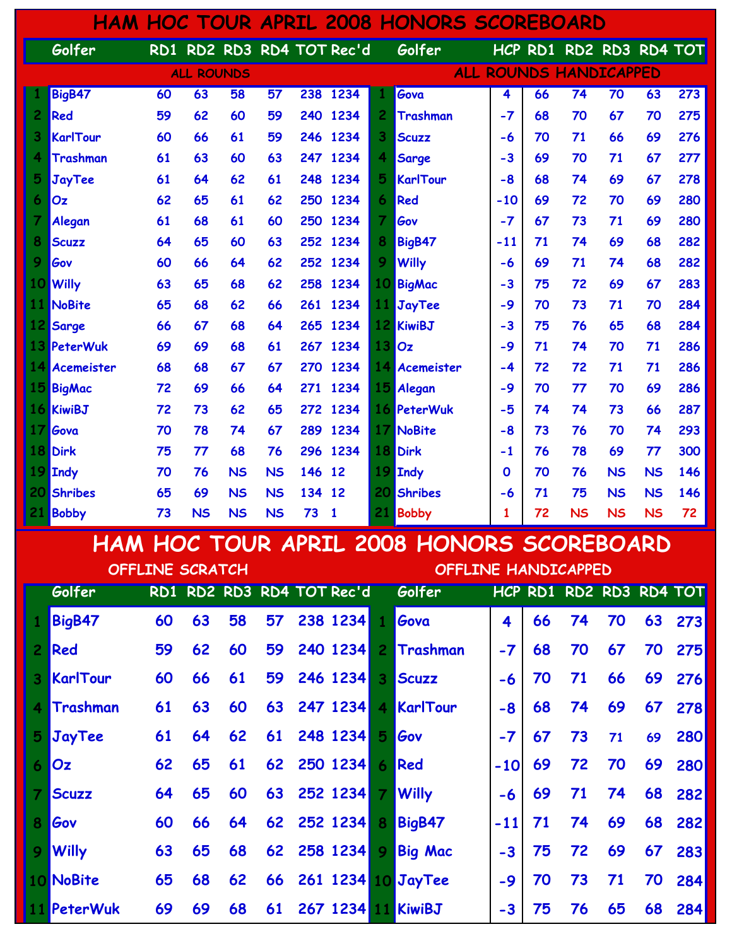|    |                |    |                   |           |           |        |                           |                | <b>HAM HOC TOUR APRIL 2008 HONORS SCOREBOARD</b> |             |    |                         |                 |           |              |
|----|----------------|----|-------------------|-----------|-----------|--------|---------------------------|----------------|--------------------------------------------------|-------------|----|-------------------------|-----------------|-----------|--------------|
|    | Golfer         |    |                   |           |           |        | RD1 RD2 RD3 RD4 TOT Rec'd |                | Golfer                                           |             |    | HCP RD1 RD2 RD3 RD4 TOT |                 |           |              |
|    |                |    | <b>ALL ROUNDS</b> |           |           |        |                           |                |                                                  |             |    | ALL ROUNDS HANDICAPPED  |                 |           |              |
|    | BigB47         | 60 | 63                | 58        | 57        |        | 238 1234                  | ı              | Gova                                             | 4           | 66 | $\overline{74}$         | $\overline{70}$ | 63        | $\sqrt{273}$ |
| 2. | Red            | 59 | 62                | 60        | 59        | 240    | 1234                      | $\overline{2}$ | <b>Trashman</b>                                  | $-7$        | 68 | 70                      | 67              | 70        | 275          |
| 3  | KarlTour       | 60 | 66                | 61        | 59        | 246    | 1234                      | 3              | <b>Scuzz</b>                                     | $-6$        | 70 | 71                      | 66              | 69        | 276          |
| 4  | Trashman       | 61 | 63                | 60        | 63        | 247    | 1234                      | 4              | Sarge                                            | $-3$        | 69 | 70                      | 71              | 67        | 277          |
| 5  | JayTee         | 61 | 64                | 62        | 61        | 248    | 1234                      | 5              | KarlTour                                         | $-8$        | 68 | 74                      | 69              | 67        | 278          |
| 6  | Oz             | 62 | 65                | 61        | 62        | 250    | 1234                      | 6              | Red                                              | $-10$       | 69 | 72                      | 70              | 69        | 280          |
| 7  | Alegan         | 61 | 68                | 61        | 60        | 250    | 1234                      | 7              | Gov                                              | $-7$        | 67 | 73                      | 71              | 69        | 280          |
| 8  | Scuzz          | 64 | 65                | 60        | 63        | 252    | 1234                      | 8              | BigB47                                           | $-11$       | 71 | 74                      | 69              | 68        | 282          |
| 9  | Gov            | 60 | 66                | 64        | 62        | 252    | 1234                      | 9              | <b>Willy</b>                                     | $-6$        | 69 | 71                      | 74              | 68        | 282          |
| 10 | <b>Willy</b>   | 63 | 65                | 68        | 62        | 258    | 1234                      | 10             | BigMac                                           | $-3$        | 75 | 72                      | 69              | 67        | 283          |
| 11 | NoBite         | 65 | 68                | 62        | 66        | 261    | 1234                      | 11             | <b>JayTee</b>                                    | -9          | 70 | 73                      | 71              | 70        | 284          |
| 12 | Sarge          | 66 | 67                | 68        | 64        | 265    | 1234                      | 12             | <b>KiwiBJ</b>                                    | $-3$        | 75 | 76                      | 65              | 68        | 284          |
| 13 | PeterWuk       | 69 | 69                | 68        | 61        | 267    | 1234                      | 13             | Oz                                               | $-9$        | 71 | 74                      | 70              | 71        | 286          |
| 14 | Acemeister     | 68 | 68                | 67        | 67        | 270    | 1234                      | 14             | <b>Acemeister</b>                                | -4          | 72 | 72                      | 71              | 71        | 286          |
| 15 | BigMac         | 72 | 69                | 66        | 64        | 271    | 1234                      | 15             | Alegan                                           | -9          | 70 | 77                      | 70              | 69        | 286          |
|    | 16 KiwiBJ      | 72 | 73                | 62        | 65        | 272    | 1234                      | 16             | PeterWuk                                         | -5          | 74 | 74                      | 73              | 66        | 287          |
| 17 | Gova           | 70 | 78                | 74        | 67        | 289    | 1234                      | 17             | NoBite                                           | $-8$        | 73 | 76                      | 70              | 74        | 293          |
| 18 | <b>Dirk</b>    | 75 | 77                | 68        | 76        | 296    | 1234                      | 18             | <b>Dirk</b>                                      | $-1$        | 76 | 78                      | 69              | 77        | 300          |
| 19 | <b>Indy</b>    | 70 | 76                | <b>NS</b> | <b>NS</b> | 146    | 12                        | 19             | <b>Indy</b>                                      | $\mathbf 0$ | 70 | 76                      | <b>NS</b>       | <b>NS</b> | 146          |
| 20 | <b>Shribes</b> | 65 | 69                | <b>NS</b> | <b>NS</b> | 134 12 |                           | 20             | <b>Shribes</b>                                   | -6          | 71 | 75                      | <b>NS</b>       | <b>NS</b> | 146          |
| 21 | <b>Bobby</b>   | 73 | <b>NS</b>         | <b>NS</b> | <b>NS</b> | 73     | 1                         | 21             | <b>Bobby</b>                                     | 1           | 72 | <b>NS</b>               | <b>NS</b>       | <b>NS</b> | 72           |

## HAM HOC TOUR APRIL 2008 HONORS SCOREBOARD

| OFFLINE SCRATCH |                 |    |    |    |    |  |                           |                         | OFFLINE HANDICAPPED   |       |    |                         |    |    |            |  |
|-----------------|-----------------|----|----|----|----|--|---------------------------|-------------------------|-----------------------|-------|----|-------------------------|----|----|------------|--|
|                 | Golfer          |    |    |    |    |  | RD1 RD2 RD3 RD4 TOT Rec'd |                         | Golfer                |       |    | HCP RD1 RD2 RD3 RD4 TOT |    |    |            |  |
|                 | BigB47          | 60 | 63 | 58 | 57 |  | 238 1234                  | $\mathbf{1}$            | Gova                  | 4     | 66 | 74                      | 70 | 63 | 273        |  |
| 2 <sup>1</sup>  | Red             | 59 | 62 | 60 | 59 |  | 240 1234                  | 2 <sup>1</sup>          | Trashman              | $-7$  | 68 | 70                      | 67 | 70 | 275        |  |
| 3 <sup>1</sup>  | <b>KarlTour</b> | 60 | 66 | 61 | 59 |  | 246 1234                  | $\overline{\mathbf{3}}$ | <b>Scuzz</b>          | -6    | 70 | 71                      | 66 | 69 | 276        |  |
| 4               | <b>Trashman</b> | 61 | 63 | 60 |    |  | 63 247 1234               |                         | 4 KarlTour            | $-8$  | 68 | 74                      | 69 | 67 | <b>278</b> |  |
|                 | 5 JayTee        | 61 | 64 | 62 | 61 |  | 248 1234                  | 5                       | Gov                   | $-7$  | 67 | 73                      | 71 | 69 | 280        |  |
| 6               | <b>Oz</b>       | 62 | 65 | 61 |    |  | 62 250 1234               | 6                       | Red                   | $-10$ | 69 | 72                      | 70 | 69 | 280        |  |
|                 | <b>Scuzz</b>    | 64 | 65 | 60 |    |  | 63 252 1234               | $\overline{7}$          | <b>Willy</b>          | $-6$  | 69 | 71                      | 74 | 68 | 282        |  |
| 8               | Gov             | 60 | 66 | 64 |    |  | 62 252 1234               | 8                       | BigB47                | $-11$ | 71 | 74                      | 69 | 68 | 282        |  |
|                 | 9 Willy         | 63 | 65 | 68 |    |  | 62 258 1234               | 9                       | <b>Big Mac</b>        | $-3$  | 75 | 72                      | 69 | 67 | 283        |  |
|                 | 10 NoBite       | 65 | 68 | 62 |    |  |                           |                         | 66 261 1234 10 JayTee | $-9$  | 70 | 73                      | 71 | 70 | 284        |  |
|                 | 11 PeterWuk     | 69 | 69 | 68 | 61 |  | 267 1234                  |                         | 11 KiwiBJ             | $-3$  | 75 | 76                      | 65 | 68 | 284        |  |